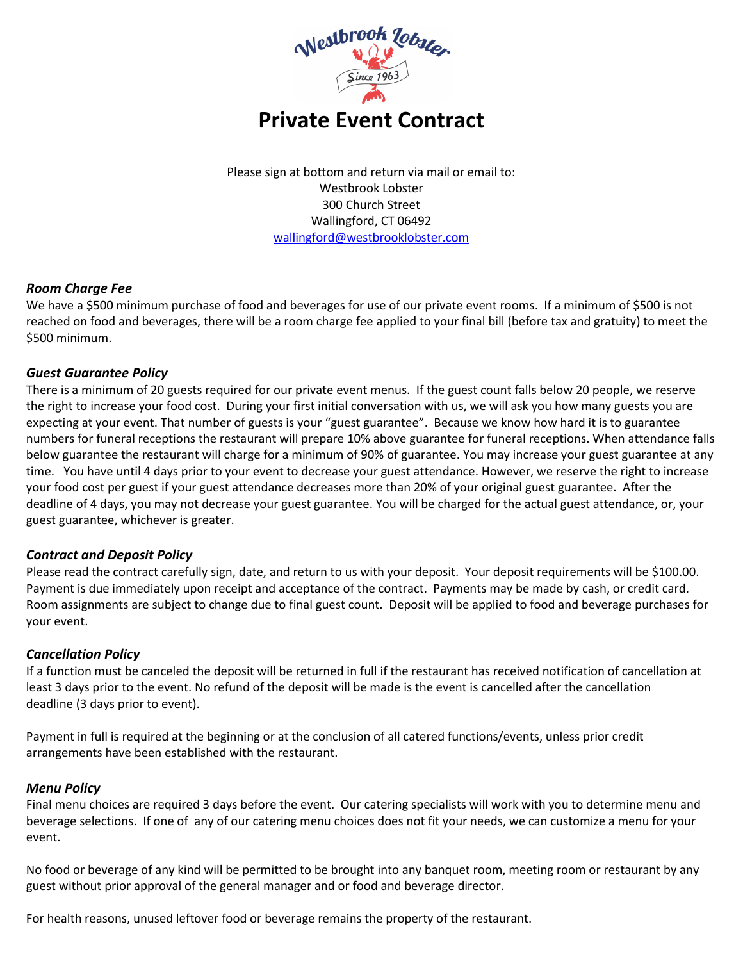

Please sign at bottom and return via mail or email to: Westbrook Lobster 300 Church Street Wallingford, CT 06492 [wallingford@westbrooklobster.com](mailto:wallingford@westbrooklobster.com)

# *Room Charge Fee*

We have a \$500 minimum purchase of food and beverages for use of our private event rooms. If a minimum of \$500 is not reached on food and beverages, there will be a room charge fee applied to your final bill (before tax and gratuity) to meet the \$500 minimum.

## *Guest Guarantee Policy*

There is a minimum of 20 guests required for our private event menus. If the guest count falls below 20 people, we reserve the right to increase your food cost. During your first initial conversation with us, we will ask you how many guests you are expecting at your event. That number of guests is your "guest guarantee". Because we know how hard it is to guarantee numbers for funeral receptions the restaurant will prepare 10% above guarantee for funeral receptions. When attendance falls below guarantee the restaurant will charge for a minimum of 90% of guarantee. You may increase your guest guarantee at any time. You have until 4 days prior to your event to decrease your guest attendance. However, we reserve the right to increase your food cost per guest if your guest attendance decreases more than 20% of your original guest guarantee. After the deadline of 4 days, you may not decrease your guest guarantee. You will be charged for the actual guest attendance, or, your guest guarantee, whichever is greater.

### *Contract and Deposit Policy*

Please read the contract carefully sign, date, and return to us with your deposit. Your deposit requirements will be \$100.00. Payment is due immediately upon receipt and acceptance of the contract. Payments may be made by cash, or credit card. Room assignments are subject to change due to final guest count. Deposit will be applied to food and beverage purchases for your event.

### *Cancellation Policy*

If a function must be canceled the deposit will be returned in full if the restaurant has received notification of cancellation at least 3 days prior to the event. No refund of the deposit will be made is the event is cancelled after the cancellation deadline (3 days prior to event).

Payment in full is required at the beginning or at the conclusion of all catered functions/events, unless prior credit arrangements have been established with the restaurant.

### *Menu Policy*

Final menu choices are required 3 days before the event. Our catering specialists will work with you to determine menu and beverage selections. If one of any of our catering menu choices does not fit your needs, we can customize a menu for your event.

No food or beverage of any kind will be permitted to be brought into any banquet room, meeting room or restaurant by any guest without prior approval of the general manager and or food and beverage director.

For health reasons, unused leftover food or beverage remains the property of the restaurant.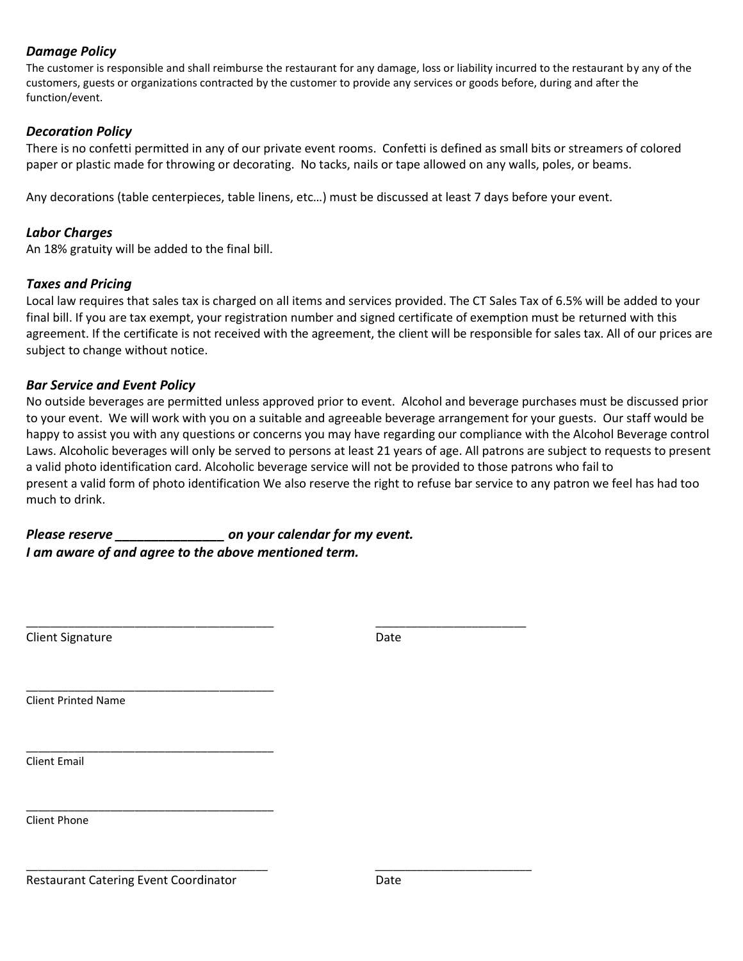## *Damage Policy*

The customer is responsible and shall reimburse the restaurant for any damage, loss or liability incurred to the restaurant by any of the customers, guests or organizations contracted by the customer to provide any services or goods before, during and after the function/event.

# *Decoration Policy*

There is no confetti permitted in any of our private event rooms. Confetti is defined as small bits or streamers of colored paper or plastic made for throwing or decorating. No tacks, nails or tape allowed on any walls, poles, or beams.

Any decorations (table centerpieces, table linens, etc…) must be discussed at least 7 days before your event.

# *Labor Charges*

An 18% gratuity will be added to the final bill.

## *Taxes and Pricing*

Local law requires that sales tax is charged on all items and services provided. The CT Sales Tax of 6.5% will be added to your final bill. If you are tax exempt, your registration number and signed certificate of exemption must be returned with this agreement. If the certificate is not received with the agreement, the client will be responsible for sales tax. All of our prices are subject to change without notice.

### *Bar Service and Event Policy*

No outside beverages are permitted unless approved prior to event. Alcohol and beverage purchases must be discussed prior to your event. We will work with you on a suitable and agreeable beverage arrangement for your guests. Our staff would be happy to assist you with any questions or concerns you may have regarding our compliance with the Alcohol Beverage control Laws. Alcoholic beverages will only be served to persons at least 21 years of age. All patrons are subject to requests to present a valid photo identification card. Alcoholic beverage service will not be provided to those patrons who fail to present a valid form of photo identification We also reserve the right to refuse bar service to any patron we feel has had too much to drink.

*Please reserve \_\_\_\_\_\_\_\_\_\_\_\_\_\_\_ on your calendar for my event. I am aware of and agree to the above mentioned term.*

\_\_\_\_\_\_\_\_\_\_\_\_\_\_\_\_\_\_\_\_\_\_\_\_\_\_\_\_\_\_\_\_\_\_\_\_\_\_\_\_\_ \_\_\_\_\_\_\_\_\_\_\_\_\_\_\_\_\_\_\_\_\_\_\_\_\_

\_\_\_\_\_\_\_\_\_\_\_\_\_\_\_\_\_\_\_\_\_\_\_\_\_\_\_\_\_\_\_\_\_\_\_\_\_\_\_\_ \_\_\_\_\_\_\_\_\_\_\_\_\_\_\_\_\_\_\_\_\_\_\_\_\_\_

| <b>Client Signature</b> | Date |
|-------------------------|------|
|                         |      |

Client Printed Name

Client Email

Client Phone

\_\_\_\_\_\_\_\_\_\_\_\_\_\_\_\_\_\_\_\_\_\_\_\_\_\_\_\_\_\_\_\_\_\_\_\_\_\_\_\_\_

\_\_\_\_\_\_\_\_\_\_\_\_\_\_\_\_\_\_\_\_\_\_\_\_\_\_\_\_\_\_\_\_\_\_\_\_\_\_\_\_\_

\_\_\_\_\_\_\_\_\_\_\_\_\_\_\_\_\_\_\_\_\_\_\_\_\_\_\_\_\_\_\_\_\_\_\_\_\_\_\_\_\_